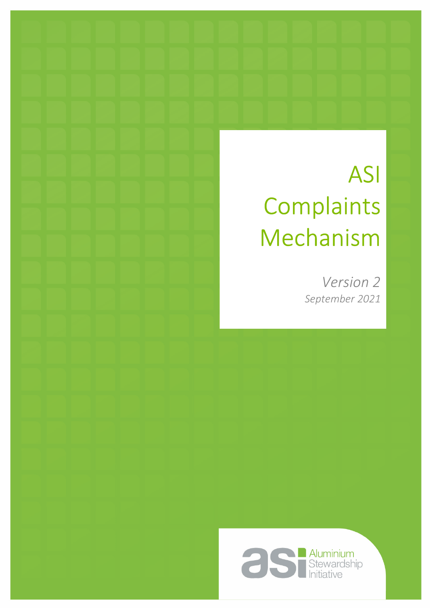# ASI **Complaints** Mechanism

*Version 2 September 2021*

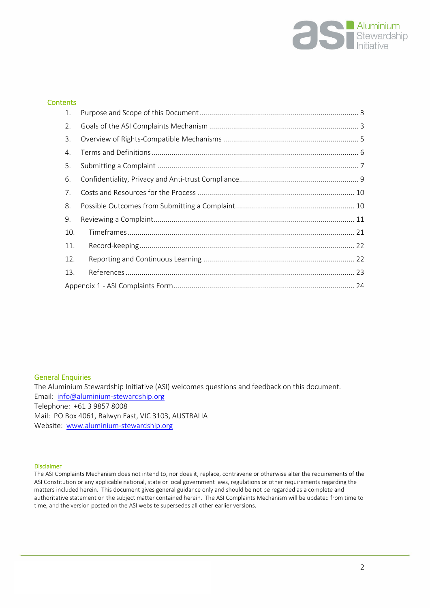

#### **Contents**

| 1.  |  |
|-----|--|
| 2.  |  |
| 3.  |  |
| 4.  |  |
| 5.  |  |
| 6.  |  |
| 7.  |  |
| 8.  |  |
| 9.  |  |
| 10. |  |
| 11. |  |
| 12. |  |
| 13. |  |
|     |  |

#### General Enquiries

The Aluminium Stewardship Initiative (ASI) welcomes questions and feedback on this document. Email: [info@aluminium-stewardship.org](mailto:info@aluminium-stewardship.org)  Telephone: +61 3 9857 8008 Mail: PO Box 4061, Balwyn East, VIC 3103, AUSTRALIA Website: [www.aluminium-stewardship.org](http://www.aluminium-stewardship.org/)

#### Disclaimer

The ASI Complaints Mechanism does not intend to, nor does it, replace, contravene or otherwise alter the requirements of the ASI Constitution or any applicable national, state or local government laws, regulations or other requirements regarding the matters included herein. This document gives general guidance only and should be not be regarded as a complete and authoritative statement on the subject matter contained herein. The ASI Complaints Mechanism will be updated from time to time, and the version posted on the ASI website supersedes all other earlier versions.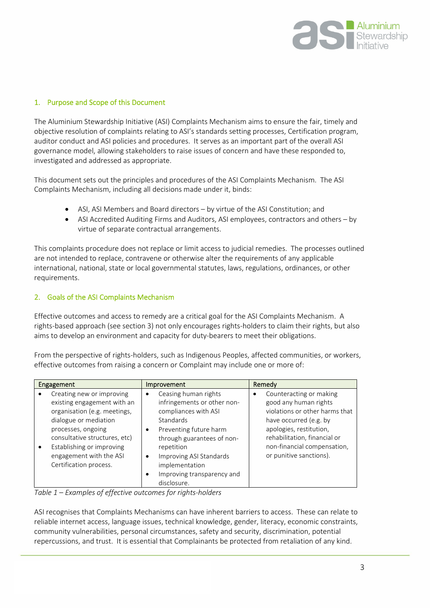

#### <span id="page-2-0"></span>1. Purpose and Scope of this Document

The Aluminium Stewardship Initiative (ASI) Complaints Mechanism aims to ensure the fair, timely and objective resolution of complaints relating to ASI's standards setting processes, Certification program, auditor conduct and ASI policies and procedures. It serves as an important part of the overall ASI governance model, allowing stakeholders to raise issues of concern and have these responded to, investigated and addressed as appropriate.

This document sets out the principles and procedures of the ASI Complaints Mechanism. The ASI Complaints Mechanism, including all decisions made under it, binds:

- ASI, ASI Members and Board directors by virtue of the ASI Constitution; and
- ASI Accredited Auditing Firms and Auditors, ASI employees, contractors and others by virtue of separate contractual arrangements.

This complaints procedure does not replace or limit access to judicial remedies. The processes outlined are not intended to replace, contravene or otherwise alter the requirements of any applicable international, national, state or local governmental statutes, laws, regulations, ordinances, or other requirements.

### <span id="page-2-1"></span>2. Goals of the ASI Complaints Mechanism

Effective outcomes and access to remedy are a critical goal for the ASI Complaints Mechanism. A rights-based approach (see section 3) not only encourages rights-holders to claim their rights, but also aims to develop an environment and capacity for duty-bearers to meet their obligations.

From the perspective of rights-holders, such as Indigenous Peoples, affected communities, or workers, effective outcomes from raising a concern or Complaint may include one or more of:

| Engagement                                                                                                                                                                                                                                                 | Improvement                                                                                                                                                                                                                                                             | Remedy                                                                                                                                                                                                                                 |
|------------------------------------------------------------------------------------------------------------------------------------------------------------------------------------------------------------------------------------------------------------|-------------------------------------------------------------------------------------------------------------------------------------------------------------------------------------------------------------------------------------------------------------------------|----------------------------------------------------------------------------------------------------------------------------------------------------------------------------------------------------------------------------------------|
| Creating new or improving<br>existing engagement with an<br>organisation (e.g. meetings,<br>dialogue or mediation<br>processes, ongoing<br>consultative structures, etc)<br>Establishing or improving<br>engagement with the ASI<br>Certification process. | Ceasing human rights<br>٠<br>infringements or other non-<br>compliances with ASI<br>Standards<br>Preventing future harm<br>٠<br>through guarantees of non-<br>repetition<br>Improving ASI Standards<br>٠<br>implementation<br>Improving transparency and<br>disclosure. | Counteracting or making<br>٠<br>good any human rights<br>violations or other harms that<br>have occurred (e.g. by<br>apologies, restitution,<br>rehabilitation, financial or<br>non-financial compensation,<br>or punitive sanctions). |

*Table 1 – Examples of effective outcomes for rights-holders* 

ASI recognises that Complaints Mechanisms can have inherent barriers to access. These can relate to reliable internet access, language issues, technical knowledge, gender, literacy, economic constraints, community vulnerabilities, personal circumstances, safety and security, discrimination, potential repercussions, and trust. It is essential that Complainants be protected from retaliation of any kind.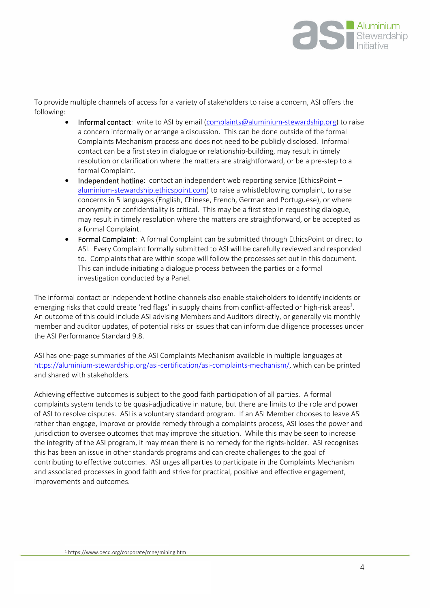

To provide multiple channels of access for a variety of stakeholders to raise a concern, ASI offers the following:

- Informal contact: write to ASI by email ([complaints@aluminium-stewardship.org\)](mailto:complaints@aluminium-stewardship.org) to raise a concern informally or arrange a discussion. This can be done outside of the formal Complaints Mechanism process and does not need to be publicly disclosed. Informal contact can be a first step in dialogue or relationship-building, may result in timely resolution or clarification where the matters are straightforward, or be a pre-step to a formal Complaint.
- Independent hotline: contact an independent web reporting service (EthicsPoint aluminium-stewardship.ethicspoint.com) to raise a whistleblowing complaint, to raise concerns in 5 languages (English, Chinese, French, German and Portuguese), or where anonymity or confidentiality is critical. This may be a first step in requesting dialogue, may result in timely resolution where the matters are straightforward, or be accepted as a formal Complaint.
- Formal Complaint: A formal Complaint can be submitted through EthicsPoint or direct to ASI. Every Complaint formally submitted to ASI will be carefully reviewed and responded to. Complaints that are within scope will follow the processes set out in this document. This can include initiating a dialogue process between the parties or a formal investigation conducted by a Panel.

The informal contact or independent hotline channels also enable stakeholders to identify incidents or emerging risks that could create 'red flags' in supply chains from conflict-affected or high-risk areas<sup>1</sup>. An outcome of this could include ASI advising Members and Auditors directly, or generally via monthly member and auditor updates, of potential risks or issues that can inform due diligence processes under the ASI Performance Standard 9.8.

ASI has one-page summaries of the ASI Complaints Mechanism available in multiple languages at [https://aluminium-stewardship.org/asi-certification/asi-complaints-mechanism/,](https://aluminium-stewardship.org/asi-certification/asi-complaints-mechanism/) which can be printed and shared with stakeholders.

<span id="page-3-0"></span>Achieving effective outcomes is subject to the good faith participation of all parties. A formal complaints system tends to be quasi-adjudicative in nature, but there are limits to the role and power of ASI to resolve disputes. ASI is a voluntary standard program. If an ASI Member chooses to leave ASI rather than engage, improve or provide remedy through a complaints process, ASI loses the power and jurisdiction to oversee outcomes that may improve the situation. While this may be seen to increase the integrity of the ASI program, it may mean there is no remedy for the rights-holder. ASI recognises this has been an issue in other standards programs and can create challenges to the goal of contributing to effective outcomes. ASI urges all parties to participate in the Complaints Mechanism and associated processes in good faith and strive for practical, positive and effective engagement, improvements and outcomes.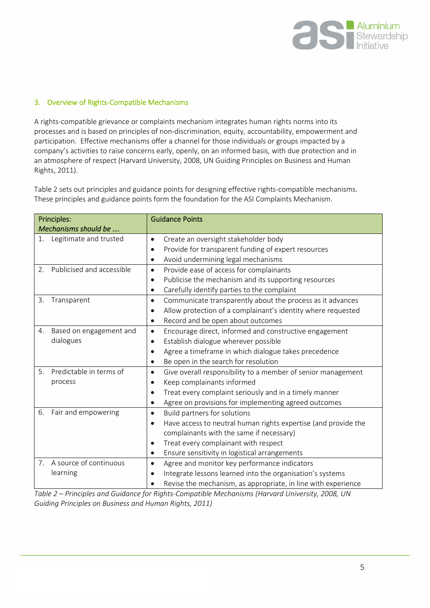

#### <span id="page-4-0"></span>3. Overview of Rights-Compatible Mechanisms

A rights-compatible grievance or complaints mechanism integrates human rights norms into its processes and is based on principles of non-discrimination, equity, accountability, empowerment and participation. Effective mechanisms offer a channel for those individuals or groups impacted by a company's activities to raise concerns early, openly, on an informed basis, with due protection and in an atmosphere of respect (Harvard University, 2008, UN Guiding Principles on Business and Human Rights, 2011).

Table 2 sets out principles and guidance points for designing effective rights-compatible mechanisms. These principles and guidance points form the foundation for the ASI Complaints Mechanism.

| Principles:                               | <b>Guidance Points</b>                                                      |
|-------------------------------------------|-----------------------------------------------------------------------------|
| Mechanisms should be                      |                                                                             |
| Legitimate and trusted<br>1.              | Create an oversight stakeholder body<br>$\bullet$                           |
|                                           | Provide for transparent funding of expert resources<br>$\bullet$            |
|                                           | Avoid undermining legal mechanisms<br>$\bullet$                             |
| Publicised and accessible<br>2.           | Provide ease of access for complainants<br>$\bullet$                        |
|                                           | Publicise the mechanism and its supporting resources<br>$\bullet$           |
|                                           | Carefully identify parties to the complaint<br>$\bullet$                    |
| 3.<br>Transparent                         | Communicate transparently about the process as it advances<br>$\bullet$     |
|                                           | Allow protection of a complainant's identity where requested                |
|                                           | Record and be open about outcomes<br>$\bullet$                              |
| Based on engagement and<br>4.             | Encourage direct, informed and constructive engagement<br>$\bullet$         |
| dialogues                                 | Establish dialogue wherever possible<br>$\bullet$                           |
|                                           | Agree a timeframe in which dialogue takes precedence                        |
|                                           | Be open in the search for resolution<br>$\bullet$                           |
| Predictable in terms of<br>5 <sub>1</sub> | Give overall responsibility to a member of senior management<br>$\bullet$   |
| process                                   | Keep complainants informed<br>$\bullet$                                     |
|                                           | Treat every complaint seriously and in a timely manner                      |
|                                           | Agree on provisions for implementing agreed outcomes<br>$\bullet$           |
| Fair and empowering<br>6.                 | Build partners for solutions<br>$\bullet$                                   |
|                                           | Have access to neutral human rights expertise (and provide the<br>$\bullet$ |
|                                           | complainants with the same if necessary)                                    |
|                                           | Treat every complainant with respect<br>$\bullet$                           |
|                                           | Ensure sensitivity in logistical arrangements<br>$\bullet$                  |
| A source of continuous<br>7.              | Agree and monitor key performance indicators<br>$\bullet$                   |
| learning                                  | Integrate lessons learned into the organisation's systems<br>$\bullet$      |
|                                           | Revise the mechanism, as appropriate, in line with experience               |

*Table 2 – Principles and Guidance for Rights-Compatible Mechanisms (Harvard University, 2008, UN Guiding Principles on Business and Human Rights, 2011)*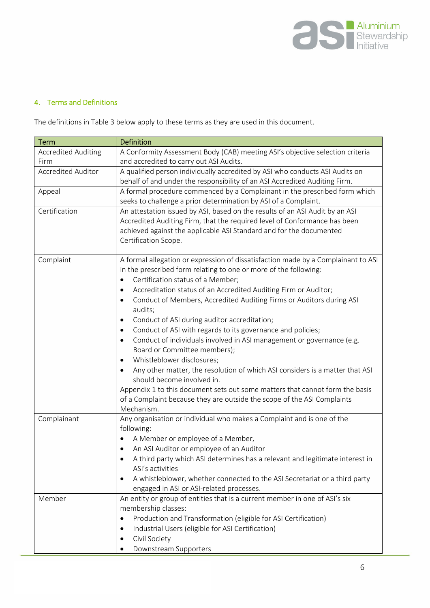

## <span id="page-5-0"></span>4. Terms and Definitions

The definitions in Table 3 below apply to these terms as they are used in this document.

| <b>Term</b>                | Definition                                                                        |
|----------------------------|-----------------------------------------------------------------------------------|
| <b>Accredited Auditing</b> | A Conformity Assessment Body (CAB) meeting ASI's objective selection criteria     |
| Firm                       | and accredited to carry out ASI Audits.                                           |
| <b>Accredited Auditor</b>  | A qualified person individually accredited by ASI who conducts ASI Audits on      |
|                            | behalf of and under the responsibility of an ASI Accredited Auditing Firm.        |
| Appeal                     | A formal procedure commenced by a Complainant in the prescribed form which        |
|                            | seeks to challenge a prior determination by ASI of a Complaint.                   |
| Certification              | An attestation issued by ASI, based on the results of an ASI Audit by an ASI      |
|                            | Accredited Auditing Firm, that the required level of Conformance has been         |
|                            | achieved against the applicable ASI Standard and for the documented               |
|                            | Certification Scope.                                                              |
|                            |                                                                                   |
| Complaint                  | A formal allegation or expression of dissatisfaction made by a Complainant to ASI |
|                            | in the prescribed form relating to one or more of the following:                  |
|                            | Certification status of a Member;                                                 |
|                            | Accreditation status of an Accredited Auditing Firm or Auditor;<br>$\bullet$      |
|                            | Conduct of Members, Accredited Auditing Firms or Auditors during ASI<br>$\bullet$ |
|                            | audits;                                                                           |
|                            | Conduct of ASI during auditor accreditation;<br>$\bullet$                         |
|                            | Conduct of ASI with regards to its governance and policies;<br>$\bullet$          |
|                            | Conduct of individuals involved in ASI management or governance (e.g.             |
|                            | Board or Committee members);                                                      |
|                            | Whistleblower disclosures;                                                        |
|                            | Any other matter, the resolution of which ASI considers is a matter that ASI      |
|                            | should become involved in.                                                        |
|                            | Appendix 1 to this document sets out some matters that cannot form the basis      |
|                            | of a Complaint because they are outside the scope of the ASI Complaints           |
|                            | Mechanism.                                                                        |
| Complainant                | Any organisation or individual who makes a Complaint and is one of the            |
|                            | following:                                                                        |
|                            | A Member or employee of a Member,                                                 |
|                            | An ASI Auditor or employee of an Auditor                                          |
|                            | A third party which ASI determines has a relevant and legitimate interest in      |
|                            | ASI's activities                                                                  |
|                            | A whistleblower, whether connected to the ASI Secretariat or a third party        |
|                            | engaged in ASI or ASI-related processes.                                          |
| Member                     | An entity or group of entities that is a current member in one of ASI's six       |
|                            | membership classes:                                                               |
|                            | Production and Transformation (eligible for ASI Certification)                    |
|                            | Industrial Users (eligible for ASI Certification)<br>٠                            |
|                            | Civil Society<br>$\bullet$                                                        |
|                            | Downstream Supporters                                                             |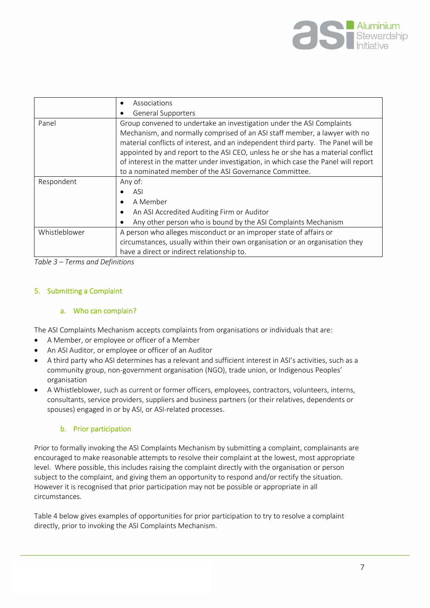

|               | Associations<br>$\bullet$                                                                                                                                                                                                                                                                                                                                                                                                                                                    |  |
|---------------|------------------------------------------------------------------------------------------------------------------------------------------------------------------------------------------------------------------------------------------------------------------------------------------------------------------------------------------------------------------------------------------------------------------------------------------------------------------------------|--|
|               | <b>General Supporters</b>                                                                                                                                                                                                                                                                                                                                                                                                                                                    |  |
| Panel         | Group convened to undertake an investigation under the ASI Complaints<br>Mechanism, and normally comprised of an ASI staff member, a lawyer with no<br>material conflicts of interest, and an independent third party. The Panel will be<br>appointed by and report to the ASI CEO, unless he or she has a material conflict<br>of interest in the matter under investigation, in which case the Panel will report<br>to a nominated member of the ASI Governance Committee. |  |
| Respondent    | Any of:<br><b>ASI</b><br>A Member<br>An ASI Accredited Auditing Firm or Auditor<br>Any other person who is bound by the ASI Complaints Mechanism                                                                                                                                                                                                                                                                                                                             |  |
| Whistleblower | A person who alleges misconduct or an improper state of affairs or<br>circumstances, usually within their own organisation or an organisation they<br>have a direct or indirect relationship to.                                                                                                                                                                                                                                                                             |  |

*Table 3 – Terms and Definitions* 

#### <span id="page-6-0"></span>5. Submitting a Complaint

#### a. Who can complain?

The ASI Complaints Mechanism accepts complaints from organisations or individuals that are:

- A Member, or employee or officer of a Member
- An ASI Auditor, or employee or officer of an Auditor
- A third party who ASI determines has a relevant and sufficient interest in ASI's activities, such as a community group, non-government organisation (NGO), trade union, or Indigenous Peoples' organisation
- A Whistleblower, such as current or former officers, employees, contractors, volunteers, interns, consultants, service providers, suppliers and business partners (or their relatives, dependents or spouses) engaged in or by ASI, or ASI-related processes.

#### b. Prior participation

Prior to formally invoking the ASI Complaints Mechanism by submitting a complaint, complainants are encouraged to make reasonable attempts to resolve their complaint at the lowest, most appropriate level. Where possible, this includes raising the complaint directly with the organisation or person subject to the complaint, and giving them an opportunity to respond and/or rectify the situation. However it is recognised that prior participation may not be possible or appropriate in all circumstances.

Table 4 below gives examples of opportunities for prior participation to try to resolve a complaint directly, prior to invoking the ASI Complaints Mechanism.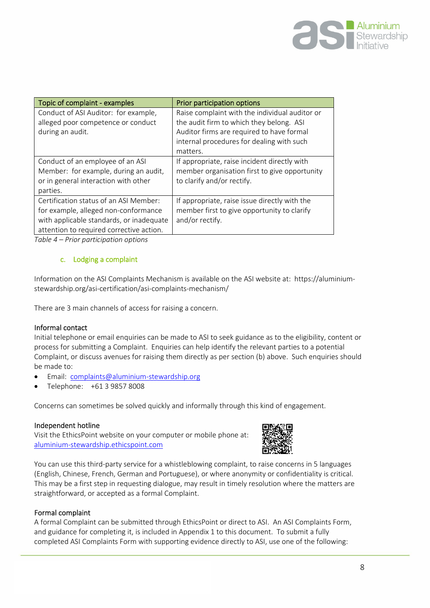

| Topic of complaint - examples                                              | Prior participation options                                                                |
|----------------------------------------------------------------------------|--------------------------------------------------------------------------------------------|
| Conduct of ASI Auditor: for example,<br>alleged poor competence or conduct | Raise complaint with the individual auditor or<br>the audit firm to which they belong. ASI |
| during an audit.                                                           | Auditor firms are required to have formal                                                  |
|                                                                            | internal procedures for dealing with such<br>matters.                                      |
| Conduct of an employee of an ASI                                           | If appropriate, raise incident directly with                                               |
| Member: for example, during an audit,                                      | member organisation first to give opportunity                                              |
| or in general interaction with other                                       | to clarify and/or rectify.                                                                 |
| parties.                                                                   |                                                                                            |
| Certification status of an ASI Member:                                     | If appropriate, raise issue directly with the                                              |
| for example, alleged non-conformance                                       | member first to give opportunity to clarify                                                |
| with applicable standards, or inadequate                                   | and/or rectify.                                                                            |
| attention to required corrective action.                                   |                                                                                            |

*Table 4 – Prior participation options* 

### c. Lodging a complaint

Information on the ASI Complaints Mechanism is available on the ASI website at: https://aluminiumstewardship.org/asi-certification/asi-complaints-mechanism/

There are 3 main channels of access for raising a concern.

### Informal contact

Initial telephone or email enquiries can be made to ASI to seek guidance as to the eligibility, content or process for submitting a Complaint. Enquiries can help identify the relevant parties to a potential Complaint, or discuss avenues for raising them directly as per section (b) above. Such enquiries should be made to:

- Email: complain[ts@aluminium-stewardship.org](mailto:complaints@aluminium-stewardship.org)
- Telephone: +61 3 9857 8008

Concerns can sometimes be solved quickly and informally through this kind of engagement.

#### Independent hotline

Visit the EthicsPoint website on your computer or mobile phone at: aluminium-stewardship.ethicspoint.com



You can use this third-party service for a whistleblowing complaint, to raise concerns in 5 languages (English, Chinese, French, German and Portuguese), or where anonymity or confidentiality is critical. This may be a first step in requesting dialogue, may result in timely resolution where the matters are straightforward, or accepted as a formal Complaint.

### Formal complaint

A formal Complaint can be submitted through EthicsPoint or direct to ASI. An ASI Complaints Form, and guidance for completing it, is included in Appendix 1 to this document. To submit a fully completed ASI Complaints Form with supporting evidence directly to ASI, use one of the following: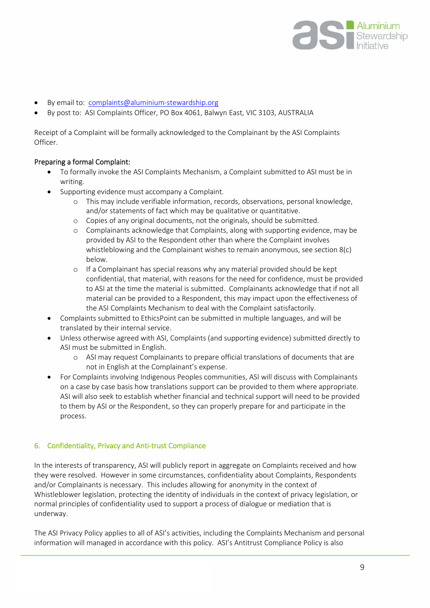

- By email to: complain[ts@aluminium-stewardship.org](mailto:complaints@aluminium-stewardship.org)
- By post to: ASI Complaints Officer, PO Box 4061, Balwyn East, VIC 3103, AUSTRALIA

Receipt of a Complaint will be formally acknowledged to the Complainant by the ASI Complaints Officer.

#### Preparing a formal Complaint:

- To formally invoke the ASI Complaints Mechanism, a Complaint submitted to ASI must be in writing.
- Supporting evidence must accompany a Complaint.
	- o This may include verifiable information, records, observations, personal knowledge, and/or statements of fact which may be qualitative or quantitative.
	- o Copies of any original documents, not the originals, should be submitted.
	- o Complainants acknowledge that Complaints, along with supporting evidence, may be provided by ASI to the Respondent other than where the Complaint involves whistleblowing and the Complainant wishes to remain anonymous, see section 8(c) below.
	- o If a Complainant has special reasons why any material provided should be kept confidential, that material, with reasons for the need for confidence, must be provided to ASI at the time the material is submitted. Complainants acknowledge that if not all material can be provided to a Respondent, this may impact upon the effectiveness of the ASI Complaints Mechanism to deal with the Complaint satisfactorily.
- Complaints submitted to EthicsPoint can be submitted in multiple languages, and will be translated by their internal service.
- Unless otherwise agreed with ASI, Complaints (and supporting evidence) submitted directly to ASI must be submitted in English.
	- o ASI may request Complainants to prepare official translations of documents that are not in English at the Complainant's expense.
- For Complaints involving Indigenous Peoples communities, ASI will discuss with Complainants on a case by case basis how translations support can be provided to them where appropriate. ASI will also seek to establish whether financial and technical support will need to be provided to them by ASI or the Respondent, so they can properly prepare for and participate in the process.

#### <span id="page-8-0"></span>6. Confidentiality, Privacy and Anti-trust Compliance

In the interests of transparency, ASI will publicly report in aggregate on Complaints received and how they were resolved. However in some circumstances, confidentiality about Complaints, Respondents and/or Complainants is necessary. This includes allowing for anonymity in the context of Whistleblower legislation, protecting the identity of individuals in the context of privacy legislation, or normal principles of confidentiality used to support a process of dialogue or mediation that is underway.

The ASI Privacy Policy applies to all of ASI's activities, including the Complaints Mechanism and personal information will managed in accordance with this policy. ASI's Antitrust Compliance Policy is also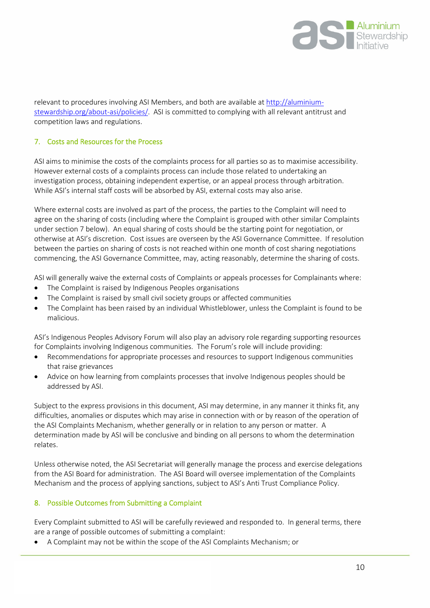

relevant to procedures involving ASI Membe[rs, and both are available at http://alu](http://aluminium-stewardship.org/about-asi/policies/)miniumstewardship.org/about-asi/policies/. ASI is committed to complying with all relevant antitrust and competition laws and regulations.

#### <span id="page-9-0"></span>7. Costs and Resources for the Process

ASI aims to minimise the costs of the complaints process for all parties so as to maximise accessibility. However external costs of a complaints process can include those related to undertaking an investigation process, obtaining independent expertise, or an appeal process through arbitration. While ASI's internal staff costs will be absorbed by ASI, external costs may also arise.

Where external costs are involved as part of the process, the parties to the Complaint will need to agree on the sharing of costs (including where the Complaint is grouped with other similar Complaints under section 7 below). An equal sharing of costs should be the starting point for negotiation, or otherwise at ASI's discretion. Cost issues are overseen by the ASI Governance Committee. If resolution between the parties on sharing of costs is not reached within one month of cost sharing negotiations commencing, the ASI Governance Committee, may, acting reasonably, determine the sharing of costs.

ASI will generally waive the external costs of Complaints or appeals processes for Complainants where:

- The Complaint is raised by Indigenous Peoples organisations
- The Complaint is raised by small civil society groups or affected communities
- The Complaint has been raised by an individual Whistleblower, unless the Complaint is found to be malicious.

ASI's Indigenous Peoples Advisory Forum will also play an advisory role regarding supporting resources for Complaints involving Indigenous communities. The Forum's role will include providing:

- Recommendations for appropriate processes and resources to support Indigenous communities that raise grievances
- Advice on how learning from complaints processes that involve Indigenous peoples should be addressed by ASI.

Subject to the express provisions in this document, ASI may determine, in any manner it thinks fit, any difficulties, anomalies or disputes which may arise in connection with or by reason of the operation of the ASI Complaints Mechanism, whether generally or in relation to any person or matter. A determination made by ASI will be conclusive and binding on all persons to whom the determination relates.

Unless otherwise noted, the ASI Secretariat will generally manage the process and exercise delegations from the ASI Board for administration. The ASI Board will oversee implementation of the Complaints Mechanism and the process of applying sanctions, subject to ASI's Anti Trust Compliance Policy.

### <span id="page-9-1"></span>8. Possible Outcomes from Submitting a Complaint

Every Complaint submitted to ASI will be carefully reviewed and responded to. In general terms, there are a range of possible outcomes of submitting a complaint:

A Complaint may not be within the scope of the ASI Complaints Mechanism; or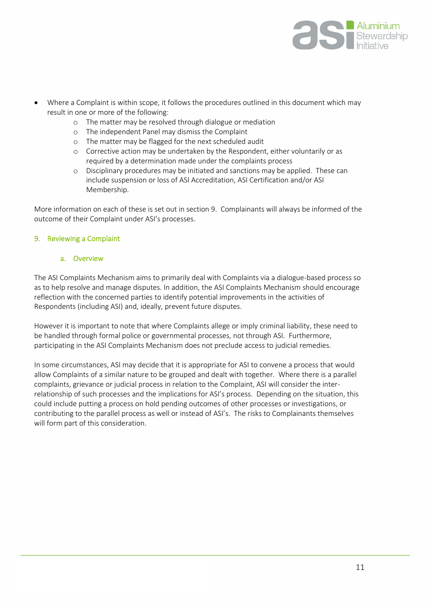

- Where a Complaint is within scope, it follows the procedures outlined in this document which may result in one or more of the following:
	- o The matter may be resolved through dialogue or mediation
	- o The independent Panel may dismiss the Complaint
	- o The matter may be flagged for the next scheduled audit
	- o Corrective action may be undertaken by the Respondent, either voluntarily or as required by a determination made under the complaints process
	- o Disciplinary procedures may be initiated and sanctions may be applied. These can include suspension or loss of ASI Accreditation, ASI Certification and/or ASI Membership.

More information on each of these is set out in section 9. Complainants will always be informed of the outcome of their Complaint under ASI's processes.

#### <span id="page-10-0"></span>9. Reviewing a Complaint

#### a. Overview

The ASI Complaints Mechanism aims to primarily deal with Complaints via a dialogue-based process so as to help resolve and manage disputes. In addition, the ASI Complaints Mechanism should encourage reflection with the concerned parties to identify potential improvements in the activities of Respondents (including ASI) and, ideally, prevent future disputes.

However it is important to note that where Complaints allege or imply criminal liability, these need to be handled through formal police or governmental processes, not through ASI. Furthermore, participating in the ASI Complaints Mechanism does not preclude access to judicial remedies.

In some circumstances, ASI may decide that it is appropriate for ASI to convene a process that would allow Complaints of a similar nature to be grouped and dealt with together. Where there is a parallel complaints, grievance or judicial process in relation to the Complaint, ASI will consider the interrelationship of such processes and the implications for ASI's process. Depending on the situation, this could include putting a process on hold pending outcomes of other processes or investigations, or contributing to the parallel process as well or instead of ASI's. The risks to Complainants themselves will form part of this consideration.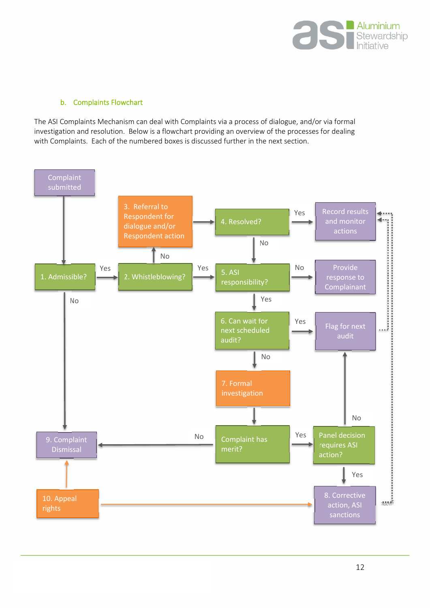

#### b. Complaints Flowchart

The ASI Complaints Mechanism can deal with Complaints via a process of dialogue, and/or via formal investigation and resolution. Below is a flowchart providing an overview of the processes for dealing with Complaints. Each of the numbered boxes is discussed further in the next section.

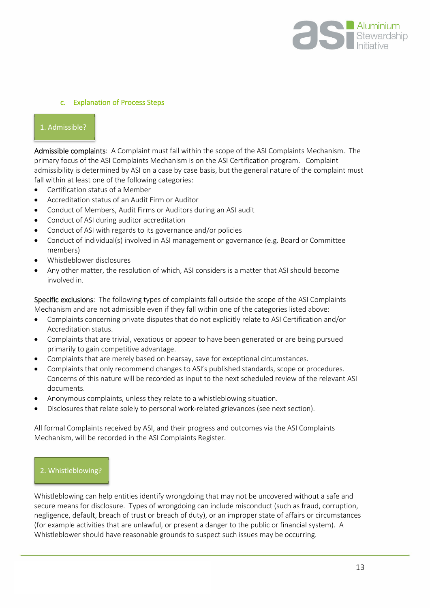

#### c. Explanation of Process Steps

### 1. Admissible?

L

Admissible complaints: A Complaint must fall within the scope of the ASI Complaints Mechanism. The primary focus of the ASI Complaints Mechanism is on the ASI Certification program. Complaint admissibility is determined by ASI on a case by case basis, but the general nature of the complaint must fall within at least one of the following categories:

- Certification status of a Member
- Accreditation status of an Audit Firm or Auditor
- Conduct of Members, Audit Firms or Auditors during an ASI audit
- Conduct of ASI during auditor accreditation
- Conduct of ASI with regards to its governance and/or policies
- Conduct of individual(s) involved in ASI management or governance (e.g. Board or Committee members)
- Whistleblower disclosures
- Any other matter, the resolution of which, ASI considers is a matter that ASI should become involved in.

Specific exclusions: The following types of complaints fall outside the scope of the ASI Complaints Mechanism and are not admissible even if they fall within one of the categories listed above:

- Complaints concerning private disputes that do not explicitly relate to ASI Certification and/or Accreditation status.
- Complaints that are trivial, vexatious or appear to have been generated or are being pursued primarily to gain competitive advantage.
- Complaints that are merely based on hearsay, save for exceptional circumstances.
- Complaints that only recommend changes to ASI's published standards, scope or procedures. Concerns of this nature will be recorded as input to the next scheduled review of the relevant ASI documents.
- Anonymous complaints, unless they relate to a whistleblowing situation.
- Disclosures that relate solely to personal work-related grievances (see next section).

All formal Complaints received by ASI, and their progress and outcomes via the ASI Complaints Mechanism, will be recorded in the ASI Complaints Register.

#### 2. Whistleblowing?

Whistleblowing can help entities identify wrongdoing that may not be uncovered without a safe and secure means for disclosure. Types of wrongdoing can include misconduct (such as fraud, corruption, negligence, default, breach of trust or breach of duty), or an improper state of affairs or circumstances (for example activities that are unlawful, or present a danger to the public or financial system). A Whistleblower should have reasonable grounds to suspect such issues may be occurring.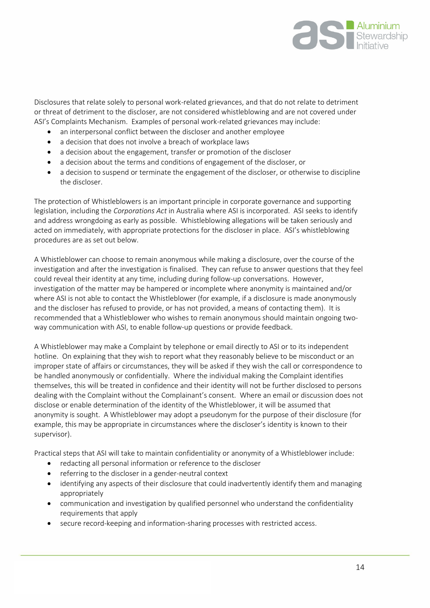

Disclosures that relate solely to personal work-related grievances, and that do not relate to detriment or threat of detriment to the discloser, are not considered whistleblowing and are not covered under ASI's Complaints Mechanism. Examples of personal work-related grievances may include:

- an interpersonal conflict between the discloser and another employee
- a decision that does not involve a breach of workplace laws
- a decision about the engagement, transfer or promotion of the discloser
- a decision about the terms and conditions of engagement of the discloser, or
- a decision to suspend or terminate the engagement of the discloser, or otherwise to discipline the discloser.

The protection of Whistleblowers is an important principle in corporate governance and supporting legislation, including the *Corporations Act* in Australia where ASI is incorporated. ASI seeks to identify and address wrongdoing as early as possible. Whistleblowing allegations will be taken seriously and acted on immediately, with appropriate protections for the discloser in place. ASI's whistleblowing procedures are as set out below.

A Whistleblower can choose to remain anonymous while making a disclosure, over the course of the investigation and after the investigation is finalised. They can refuse to answer questions that they feel could reveal their identity at any time, including during follow-up conversations. However, investigation of the matter may be hampered or incomplete where anonymity is maintained and/or where ASI is not able to contact the Whistleblower (for example, if a disclosure is made anonymously and the discloser has refused to provide, or has not provided, a means of contacting them). It is recommended that a Whistleblower who wishes to remain anonymous should maintain ongoing twoway communication with ASI, to enable follow-up questions or provide feedback.

A Whistleblower may make a Complaint by telephone or email directly to ASI or to its independent hotline. On explaining that they wish to report what they reasonably believe to be misconduct or an improper state of affairs or circumstances, they will be asked if they wish the call or correspondence to be handled anonymously or confidentially. Where the individual making the Complaint identifies themselves, this will be treated in confidence and their identity will not be further disclosed to persons dealing with the Complaint without the Complainant's consent. Where an email or discussion does not disclose or enable determination of the identity of the Whistleblower, it will be assumed that anonymity is sought. A Whistleblower may adopt a pseudonym for the purpose of their disclosure (for example, this may be appropriate in circumstances where the discloser's identity is known to their supervisor).

Practical steps that ASI will take to maintain confidentiality or anonymity of a Whistleblower include:

- redacting all personal information or reference to the discloser
- referring to the discloser in a gender-neutral context
- identifying any aspects of their disclosure that could inadvertently identify them and managing appropriately
- communication and investigation by qualified personnel who understand the confidentiality requirements that apply
- secure record-keeping and information-sharing processes with restricted access.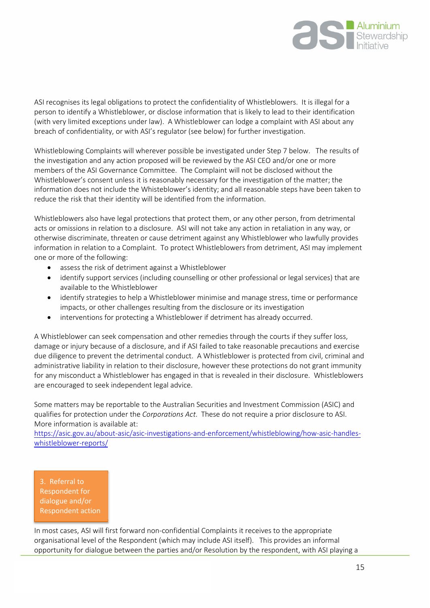

ASI recognises its legal obligations to protect the confidentiality of Whistleblowers. It is illegal for a person to identify a Whistleblower, or disclose information that is likely to lead to their identification (with very limited exceptions under law). A Whistleblower can lodge a complaint with ASI about any breach of confidentiality, or with ASI's regulator (see below) for further investigation.

Whistleblowing Complaints will wherever possible be investigated under Step 7 below. The results of the investigation and any action proposed will be reviewed by the ASI CEO and/or one or more members of the ASI Governance Committee. The Complaint will not be disclosed without the Whistleblower's consent unless it is reasonably necessary for the investigation of the matter; the information does not include the Whisteblower's identity; and all reasonable steps have been taken to reduce the risk that their identity will be identified from the information.

Whistleblowers also have legal protections that protect them, or any other person, from detrimental acts or omissions in relation to a disclosure. ASI will not take any action in retaliation in any way, or otherwise discriminate, threaten or cause detriment against any Whistleblower who lawfully provides information in relation to a Complaint. To protect Whistleblowers from detriment, ASI may implement one or more of the following:

- assess the risk of detriment against a Whistleblower
- identify support services (including counselling or other professional or legal services) that are available to the Whistleblower
- identify strategies to help a Whistleblower minimise and manage stress, time or performance impacts, or other challenges resulting from the disclosure or its investigation
- interventions for protecting a Whistleblower if detriment has already occurred.

A Whistleblower can seek compensation and other remedies through the courts if they suffer loss, damage or injury because of a disclosure, and if ASI failed to take reasonable precautions and exercise due diligence to prevent the detrimental conduct. A Whistleblower is protected from civil, criminal and administrative liability in relation to their disclosure, however these protections do not grant immunity for any misconduct a Whistleblower has engaged in that is revealed in their disclosure. Whistleblowers are encouraged to seek independent legal advice.

Some matters may be reportable to the Australian Securities and Investment Commission (ASIC) and qualifies for protection under the *Corporations Act*. These do not require a prior disclosure to ASI. More information is available at:

https://a[sic.gov.au/about-asic/as](https://asic.gov.au/about-asic/asic-investigations-and-enforcement/whistleblowing/how-asic-handles-whistleblower-reports/)ic-investigations-and-enforcement/whistleblowing/how-asic-handleswhistleblower-reports/

3. Referral to Respondent for dialogue and/or Respondent action

In most cases, ASI will first forward non-confidential Complaints it receives to the appropriate organisational level of the Respondent (which may include ASI itself). This provides an informal opportunity for dialogue between the parties and/or Resolution by the respondent, with ASI playing a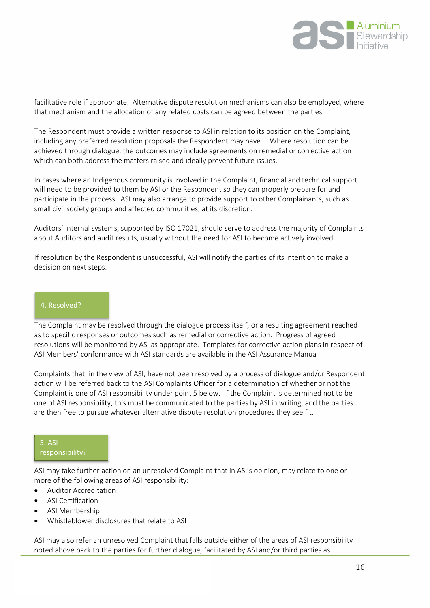

facilitative role if appropriate. Alternative dispute resolution mechanisms can also be employed, where that mechanism and the allocation of any related costs can be agreed between the parties.

The Respondent must provide a written response to ASI in relation to its position on the Complaint, including any preferred resolution proposals the Respondent may have. Where resolution can be achieved through dialogue, the outcomes may include agreements on remedial or corrective action which can both address the matters raised and ideally prevent future issues.

In cases where an Indigenous community is involved in the Complaint, financial and technical support will need to be provided to them by ASI or the Respondent so they can properly prepare for and participate in the process. ASI may also arrange to provide support to other Complainants, such as small civil society groups and affected communities, at its discretion.

Auditors' internal systems, supported by ISO 17021, should serve to address the majority of Complaints about Auditors and audit results, usually without the need for ASI to become actively involved.

If resolution by the Respondent is unsuccessful, ASI will notify the parties of its intention to make a decision on next steps.

#### 4. Resolved?

The Complaint may be resolved through the dialogue process itself, or a resulting agreement reached as to specific responses or outcomes such as remedial or corrective action. Progress of agreed resolutions will be monitored by ASI as appropriate. Templates for corrective action plans in respect of ASI Members' conformance with ASI standards are available in the ASI Assurance Manual.

Complaints that, in the view of ASI, have not been resolved by a process of dialogue and/or Respondent action will be referred back to the ASI Complaints Officer for a determination of whether or not the Complaint is one of ASI responsibility under point 5 below. If the Complaint is determined not to be one of ASI responsibility, this must be communicated to the parties by ASI in writing, and the parties are then free to pursue whatever alternative dispute resolution procedures they see fit.

## 5. ASI responsibility?

ASI may take further action on an unresolved Complaint that in ASI's opinion, may relate to one or more of the following areas of ASI responsibility:

- Auditor Accreditation
- ASI Certification
- ASI Membership
- Whistleblower disclosures that relate to ASI

ASI may also refer an unresolved Complaint that falls outside either of the areas of ASI responsibility noted above back to the parties for further dialogue, facilitated by ASI and/or third parties as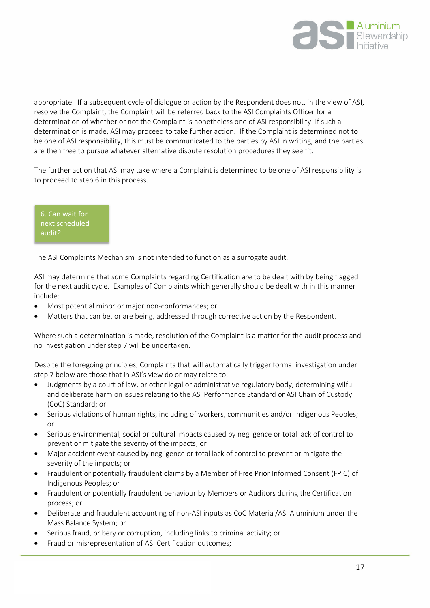

appropriate. If a subsequent cycle of dialogue or action by the Respondent does not, in the view of ASI, resolve the Complaint, the Complaint will be referred back to the ASI Complaints Officer for a determination of whether or not the Complaint is nonetheless one of ASI responsibility. If such a determination is made, ASI may proceed to take further action. If the Complaint is determined not to be one of ASI responsibility, this must be communicated to the parties by ASI in writing, and the parties are then free to pursue whatever alternative dispute resolution procedures they see fit.

The further action that ASI may take where a Complaint is determined to be one of ASI responsibility is to proceed to step 6 in this process.

6. Can wait for next scheduled audit?

The ASI Complaints Mechanism is not intended to function as a surrogate audit.

ASI may determine that some Complaints regarding Certification are to be dealt with by being flagged for the next audit cycle. Examples of Complaints which generally should be dealt with in this manner include:

- Most potential minor or major non-conformances; or
- Matters that can be, or are being, addressed through corrective action by the Respondent.

Where such a determination is made, resolution of the Complaint is a matter for the audit process and no investigation under step 7 will be undertaken.

Despite the foregoing principles, Complaints that will automatically trigger formal investigation under step 7 below are those that in ASI's view do or may relate to:

- Judgments by a court of law, or other legal or administrative regulatory body, determining wilful and deliberate harm on issues relating to the ASI Performance Standard or ASI Chain of Custody (CoC) Standard; or
- Serious violations of human rights, including of workers, communities and/or Indigenous Peoples; or
- Serious environmental, social or cultural impacts caused by negligence or total lack of control to prevent or mitigate the severity of the impacts; or
- Major accident event caused by negligence or total lack of control to prevent or mitigate the severity of the impacts; or
- Fraudulent or potentially fraudulent claims by a Member of Free Prior Informed Consent (FPIC) of Indigenous Peoples; or
- Fraudulent or potentially fraudulent behaviour by Members or Auditors during the Certification process; or
- Deliberate and fraudulent accounting of non-ASI inputs as CoC Material/ASI Aluminium under the Mass Balance System; or
- Serious fraud, bribery or corruption, including links to criminal activity; or
- Fraud or misrepresentation of ASI Certification outcomes;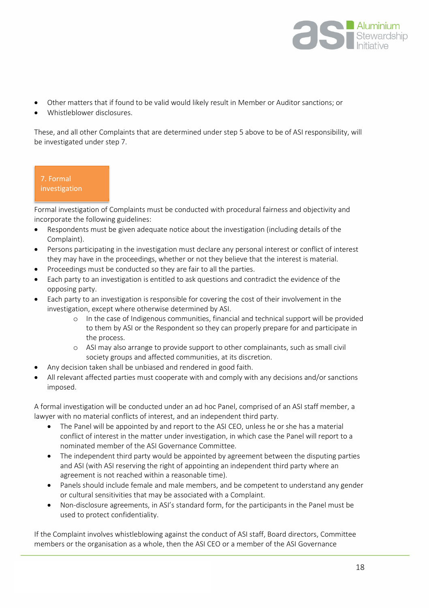

- Other matters that if found to be valid would likely result in Member or Auditor sanctions; or
- Whistleblower disclosures.

These, and all other Complaints that are determined under step 5 above to be of ASI responsibility, will be investigated under step 7.

7. Formal investigation

Formal investigation of Complaints must be conducted with procedural fairness and objectivity and incorporate the following guidelines:

- Respondents must be given adequate notice about the investigation (including details of the Complaint).
- Persons participating in the investigation must declare any personal interest or conflict of interest they may have in the proceedings, whether or not they believe that the interest is material.
- Proceedings must be conducted so they are fair to all the parties.
- Each party to an investigation is entitled to ask questions and contradict the evidence of the opposing party.
- Each party to an investigation is responsible for covering the cost of their involvement in the investigation, except where otherwise determined by ASI.
	- o In the case of Indigenous communities, financial and technical support will be provided to them by ASI or the Respondent so they can properly prepare for and participate in the process.
	- o ASI may also arrange to provide support to other complainants, such as small civil society groups and affected communities, at its discretion.
- Any decision taken shall be unbiased and rendered in good faith.
- All relevant affected parties must cooperate with and comply with any decisions and/or sanctions imposed.

A formal investigation will be conducted under an ad hoc Panel, comprised of an ASI staff member, a lawyer with no material conflicts of interest, and an independent third party.

- The Panel will be appointed by and report to the ASI CEO, unless he or she has a material conflict of interest in the matter under investigation, in which case the Panel will report to a nominated member of the ASI Governance Committee.
- The independent third party would be appointed by agreement between the disputing parties and ASI (with ASI reserving the right of appointing an independent third party where an agreement is not reached within a reasonable time).
- Panels should include female and male members, and be competent to understand any gender or cultural sensitivities that may be associated with a Complaint.
- Non-disclosure agreements, in ASI's standard form, for the participants in the Panel must be used to protect confidentiality.

If the Complaint involves whistleblowing against the conduct of ASI staff, Board directors, Committee members or the organisation as a whole, then the ASI CEO or a member of the ASI Governance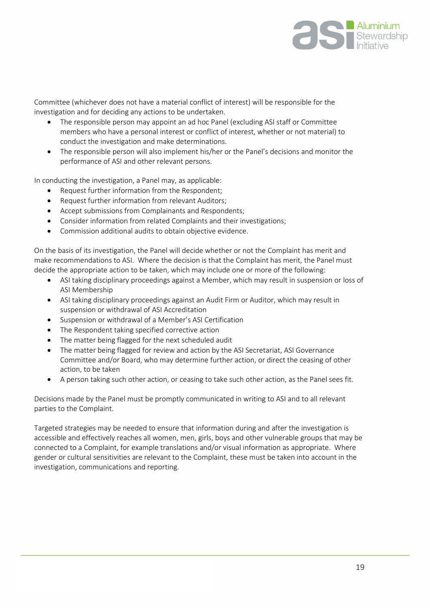

Committee (whichever does not have a material conflict of interest) will be responsible for the investigation and for deciding any actions to be undertaken.

- The responsible person may appoint an ad hoc Panel (excluding ASI staff or Committee members who have a personal interest or conflict of interest, whether or not material) to conduct the investigation and make determinations.
- The responsible person will also implement his/her or the Panel's decisions and monitor the performance of ASI and other relevant persons.

In conducting the investigation, a Panel may, as applicable:

- Request further information from the Respondent;
- Request further information from relevant Auditors;
- Accept submissions from Complainants and Respondents;
- Consider information from related Complaints and their investigations;
- Commission additional audits to obtain objective evidence.

On the basis of its investigation, the Panel will decide whether or not the Complaint has merit and make recommendations to ASI. Where the decision is that the Complaint has merit, the Panel must decide the appropriate action to be taken, which may include one or more of the following:

- ASI taking disciplinary proceedings against a Member, which may result in suspension or loss of ASI Membership
- ASI taking disciplinary proceedings against an Audit Firm or Auditor, which may result in suspension or withdrawal of ASI Accreditation
- Suspension or withdrawal of a Member's ASI Certification
- The Respondent taking specified corrective action
- The matter being flagged for the next scheduled audit
- The matter being flagged for review and action by the ASI Secretariat, ASI Governance Committee and/or Board, who may determine further action, or direct the ceasing of other action, to be taken
- A person taking such other action, or ceasing to take such other action, as the Panel sees fit.

Decisions made by the Panel must be promptly communicated in writing to ASI and to all relevant parties to the Complaint.

Targeted strategies may be needed to ensure that information during and after the investigation is accessible and effectively reaches all women, men, girls, boys and other vulnerable groups that may be connected to a Complaint, for example translations and/or visual information as appropriate. Where gender or cultural sensitivities are relevant to the Complaint, these must be taken into account in the investigation, communications and reporting.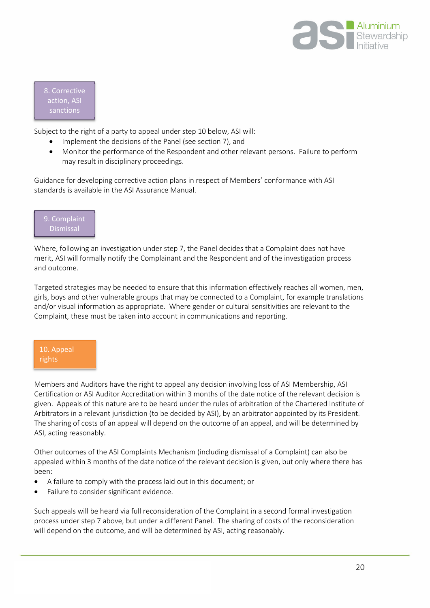

8. Corrective action, ASI sanctions

Subject to the right of a party to appeal under step 10 below, ASI will:

- Implement the decisions of the Panel (see section 7), and
- Monitor the performance of the Respondent and other relevant persons. Failure to perform may result in disciplinary proceedings.

Guidance for developing corrective action plans in respect of Members' conformance with ASI standards is available in the ASI Assurance Manual.



Where, following an investigation under step 7, the Panel decides that a Complaint does not have merit, ASI will formally notify the Complainant and the Respondent and of the investigation process and outcome.

Targeted strategies may be needed to ensure that this information effectively reaches all women, men, girls, boys and other vulnerable groups that may be connected to a Complaint, for example translations and/or visual information as appropriate. Where gender or cultural sensitivities are relevant to the Complaint, these must be taken into account in communications and reporting.

## 10. Appeal rights

Members and Auditors have the right to appeal any decision involving loss of ASI Membership, ASI Certification or ASI Auditor Accreditation within 3 months of the date notice of the relevant decision is given. Appeals of this nature are to be heard under the rules of arbitration of the Chartered Institute of Arbitrators in a relevant jurisdiction (to be decided by ASI), by an arbitrator appointed by its President. The sharing of costs of an appeal will depend on the outcome of an appeal, and will be determined by ASI, acting reasonably.

Other outcomes of the ASI Complaints Mechanism (including dismissal of a Complaint) can also be appealed within 3 months of the date notice of the relevant decision is given, but only where there has been:

- A failure to comply with the process laid out in this document; or
- Failure to consider significant evidence.

Such appeals will be heard via full reconsideration of the Complaint in a second formal investigation process under step 7 above, but under a different Panel. The sharing of costs of the reconsideration will depend on the outcome, and will be determined by ASI, acting reasonably.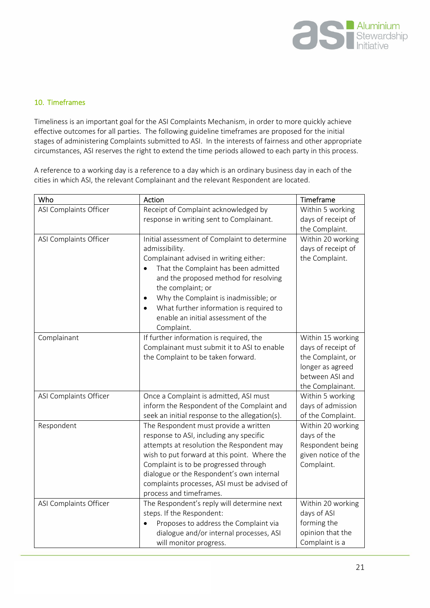

#### <span id="page-20-0"></span>10. Timeframes

Timeliness is an important goal for the ASI Complaints Mechanism, in order to more quickly achieve effective outcomes for all parties. The following guideline timeframes are proposed for the initial stages of administering Complaints submitted to ASI. In the interests of fairness and other appropriate circumstances, ASI reserves the right to extend the time periods allowed to each party in this process.

A reference to a working day is a reference to a day which is an ordinary business day in each of the cities in which ASI, the relevant Complainant and the relevant Respondent are located.

| Who                    | Action                                                                                                                                                                                                                                                                                                                                         | Timeframe                                                                                                               |
|------------------------|------------------------------------------------------------------------------------------------------------------------------------------------------------------------------------------------------------------------------------------------------------------------------------------------------------------------------------------------|-------------------------------------------------------------------------------------------------------------------------|
| ASI Complaints Officer | Receipt of Complaint acknowledged by                                                                                                                                                                                                                                                                                                           | Within 5 working                                                                                                        |
|                        | response in writing sent to Complainant.                                                                                                                                                                                                                                                                                                       | days of receipt of                                                                                                      |
| ASI Complaints Officer | Initial assessment of Complaint to determine<br>admissibility.<br>Complainant advised in writing either:<br>That the Complaint has been admitted<br>and the proposed method for resolving<br>the complaint; or<br>Why the Complaint is inadmissible; or<br>٠                                                                                   | the Complaint.<br>Within 20 working<br>days of receipt of<br>the Complaint.                                             |
|                        | What further information is required to<br>$\bullet$<br>enable an initial assessment of the<br>Complaint.                                                                                                                                                                                                                                      |                                                                                                                         |
| Complainant            | If further information is required, the<br>Complainant must submit it to ASI to enable<br>the Complaint to be taken forward.                                                                                                                                                                                                                   | Within 15 working<br>days of receipt of<br>the Complaint, or<br>longer as agreed<br>between ASI and<br>the Complainant. |
| ASI Complaints Officer | Once a Complaint is admitted, ASI must<br>inform the Respondent of the Complaint and<br>seek an initial response to the allegation(s).                                                                                                                                                                                                         | Within 5 working<br>days of admission<br>of the Complaint.                                                              |
| Respondent             | The Respondent must provide a written<br>response to ASI, including any specific<br>attempts at resolution the Respondent may<br>wish to put forward at this point. Where the<br>Complaint is to be progressed through<br>dialogue or the Respondent's own internal<br>complaints processes, ASI must be advised of<br>process and timeframes. | Within 20 working<br>days of the<br>Respondent being<br>given notice of the<br>Complaint.                               |
| ASI Complaints Officer | The Respondent's reply will determine next<br>steps. If the Respondent:<br>Proposes to address the Complaint via<br>dialogue and/or internal processes, ASI<br>will monitor progress.                                                                                                                                                          | Within 20 working<br>days of ASI<br>forming the<br>opinion that the<br>Complaint is a                                   |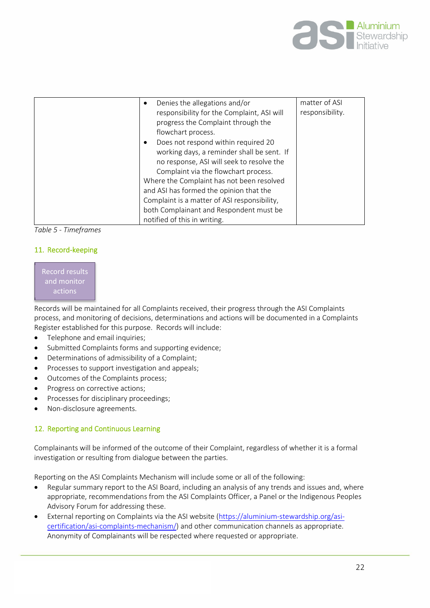

| Denies the allegations and/or<br>responsibility for the Complaint, ASI will<br>progress the Complaint through the<br>flowchart process.<br>Does not respond within required 20<br>working days, a reminder shall be sent. If<br>no response, ASI will seek to resolve the<br>Complaint via the flowchart process.<br>Where the Complaint has not been resolved<br>and ASI has formed the opinion that the<br>Complaint is a matter of ASI responsibility,<br>both Complainant and Respondent must be | matter of ASI<br>responsibility. |
|------------------------------------------------------------------------------------------------------------------------------------------------------------------------------------------------------------------------------------------------------------------------------------------------------------------------------------------------------------------------------------------------------------------------------------------------------------------------------------------------------|----------------------------------|
| notified of this in writing.                                                                                                                                                                                                                                                                                                                                                                                                                                                                         |                                  |

*Table 5 - Timeframes* 

### <span id="page-21-0"></span>11. Record-keeping

Record results and monitor actions

Records will be maintained for all Complaints received, their progress through the ASI Complaints process, and monitoring of decisions, determinations and actions will be documented in a Complaints Register established for this purpose. Records will include:

- Telephone and email inquiries;
- Submitted Complaints forms and supporting evidence;
- Determinations of admissibility of a Complaint;
- Processes to support investigation and appeals;
- Outcomes of the Complaints process;
- Progress on corrective actions;
- Processes for disciplinary proceedings;
- Non-disclosure agreements.

### <span id="page-21-1"></span>12. Reporting and Continuous Learning

Complainants will be informed of the outcome of their Complaint, regardless of whether it is a formal investigation or resulting from dialogue between the parties.

Reporting on the ASI Complaints Mechanism will include some or all of the following:

- Regular summary report to the ASI Board, including an analysis of any trends and issues and, where appropriate, recommendations from the ASI Complaints Officer, a Panel or the Indigenous Peoples Advisory Forum for addressing these.
- External reporting on Complaints via the ASI [website \(https://alu](https://aluminium-stewardship.org/asi-certification/asi-complaints-mechanism/)minium-stewardship.org/asicertification/asi-complaints-mechanism/) and other communication channels as appropriate. Anonymity of Complainants will be respected where requested or appropriate.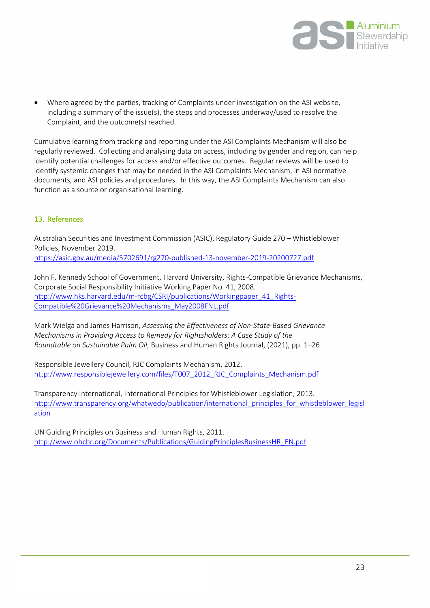

 Where agreed by the parties, tracking of Complaints under investigation on the ASI website, including a summary of the issue(s), the steps and processes underway/used to resolve the Complaint, and the outcome(s) reached.

Cumulative learning from tracking and reporting under the ASI Complaints Mechanism will also be regularly reviewed. Collecting and analysing data on access, including by gender and region, can help identify potential challenges for access and/or effective outcomes. Regular reviews will be used to identify systemic changes that may be needed in the ASI Complaints Mechanism, in ASI normative documents, and ASI policies and procedures. In this way, the ASI Complaints Mechanism can also function as a source or organisational learning.

## <span id="page-22-0"></span>13. References

Australian Securities and Investment Commission (ASIC), Regulatory Guide 270 – Whistleblower Policies, November 2019. https://a[sic.gov.au/media/5702691/rg270-published-13-november-2019-20200727.pdf](https://asic.gov.au/media/5702691/rg270-published-13-november-2019-20200727.pdf) 

John F. Kennedy School of Government, Harvard University, Rights-Compatible Grievance Mechanisms, Corporate Social Responsibility Initiative Working Paper No. 41, 2008. [http://www.hks.harvard.edu/m-rcbg/CSRI/publications/Work](http://www.hks.harvard.edu/m-rcbg/CSRI/publications/Workingpaper_41_Rights-Compatible Grievance Mechanisms_May2008FNL.pdf)ingpaper\_41\_Rights-Compatible%20Grievance%20Mechanisms\_May2008FNL.pdf

Mark Wielga and James Harrison, *Assessing the Effectiveness of Non-State-Based Grievance Mechanisms in Providing Access to Remedy for Rightsholders: A Case Study of the Roundtable on Sustainable Palm Oil*, Business and Human Rights Journal, (2021), pp. 1–26

Responsible Jewellery Council, RJC Complaints Mechanism, 2012. [http://www.responsiblejewellery.com/files/T007\\_2012\\_RJC\\_Complaints\\_Mechanism.pdf](http://www.responsiblejewellery.com/files/T007_2012_RJC_Complaints_Mechanism.pdf)

Transparency International, International Principles for Whistleblower Legislation, 2013. [http:/](http://www.transparency.org/whatwedo/publication/international_principles_for_whistleblower_legislation)/www.transparency.org/whatwedo/publication/international principles for whistleblower legisl ation

UN Guiding Principles on Business and Human Rights, 2011. [http://www.ohchr.org/Documents/Publications/GuidingPrinciplesBusinessHR\\_EN.pdf](http://www.ohchr.org/Documents/Publications/GuidingPrinciplesBusinessHR_EN.pdf)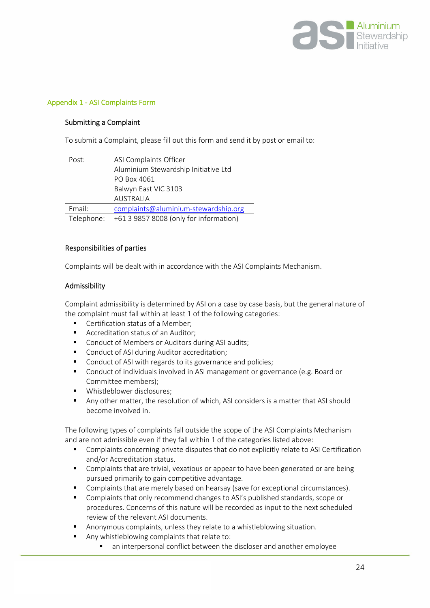

#### <span id="page-23-0"></span>Appendix 1 - ASI Complaints Form

#### Submitting a Complaint

To submit a Complaint, please fill out this form and send it by post or email to:

| Post:      | ASI Complaints Officer                 |
|------------|----------------------------------------|
|            | Aluminium Stewardship Initiative Ltd   |
|            | PO Box 4061                            |
|            | Balwyn East VIC 3103                   |
|            | <b>AUSTRALIA</b>                       |
| Email:     | complaints@aluminium-stewardship.org   |
| Telephone: | +61 3 9857 8008 (only for information) |

#### Responsibilities of parties

Complaints will be dealt with in accordance with the ASI Complaints Mechanism.

#### Admissibility

Complaint admissibility is determined by ASI on a case by case basis, but the general nature of the complaint must fall within at least 1 of the following categories:

- **Certification status of a Member:**
- Accreditation status of an Auditor;
- Conduct of Members or Auditors during ASI audits;
- Conduct of ASI during Auditor accreditation:
- Conduct of ASI with regards to its governance and policies;
- **Conduct of individuals involved in ASI management or governance (e.g. Board or** Committee members);
- **Whistleblower disclosures:**
- Any other matter, the resolution of which, ASI considers is a matter that ASI should become involved in.

The following types of complaints fall outside the scope of the ASI Complaints Mechanism and are not admissible even if they fall within 1 of the categories listed above:

- Complaints concerning private disputes that do not explicitly relate to ASI Certification and/or Accreditation status.
- Complaints that are trivial, vexatious or appear to have been generated or are being pursued primarily to gain competitive advantage.
- Complaints that are merely based on hearsay (save for exceptional circumstances).
- **Complaints that only recommend changes to ASI's published standards, scope or** procedures. Concerns of this nature will be recorded as input to the next scheduled review of the relevant ASI documents.
- Anonymous complaints, unless they relate to a whistleblowing situation.
- Any whistleblowing complaints that relate to:
	- an interpersonal conflict between the discloser and another employee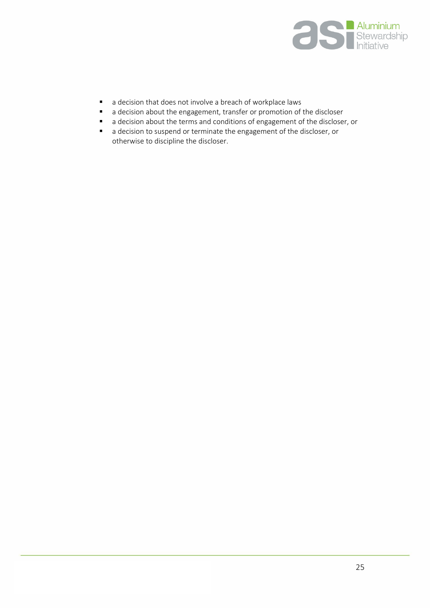

- a decision that does not involve a breach of workplace laws
- a decision about the engagement, transfer or promotion of the discloser
- a decision about the terms and conditions of engagement of the discloser, or
- a decision to suspend or terminate the engagement of the discloser, or otherwise to discipline the discloser.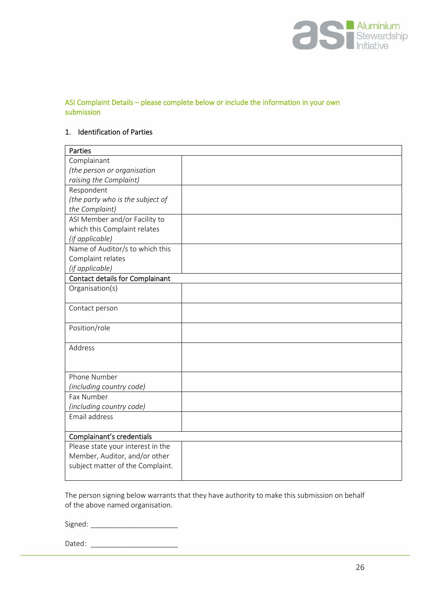

### ASI Complaint Details – please complete below or include the information in your own submission

### 1. Identification of Parties

| Parties                                |  |  |
|----------------------------------------|--|--|
| Complainant                            |  |  |
| (the person or organisation            |  |  |
| raising the Complaint)                 |  |  |
| Respondent                             |  |  |
| (the party who is the subject of       |  |  |
| the Complaint)                         |  |  |
| ASI Member and/or Facility to          |  |  |
| which this Complaint relates           |  |  |
| (if applicable)                        |  |  |
| Name of Auditor/s to which this        |  |  |
| Complaint relates                      |  |  |
| (if applicable)                        |  |  |
| <b>Contact details for Complainant</b> |  |  |
| Organisation(s)                        |  |  |
|                                        |  |  |
| Contact person                         |  |  |
|                                        |  |  |
| Position/role                          |  |  |
| Address                                |  |  |
|                                        |  |  |
|                                        |  |  |
| Phone Number                           |  |  |
| (including country code)               |  |  |
| Fax Number                             |  |  |
| (including country code)               |  |  |
| Email address                          |  |  |
|                                        |  |  |
| Complainant's credentials              |  |  |
| Please state your interest in the      |  |  |
| Member, Auditor, and/or other          |  |  |
| subject matter of the Complaint.       |  |  |
|                                        |  |  |

The person signing below warrants that they have authority to make this submission on behalf of the above named organisation.

Signed: \_\_\_\_\_\_\_\_\_\_\_\_\_\_\_\_\_\_\_\_\_\_

Dated: \_\_\_\_\_\_\_\_\_\_\_\_\_\_\_\_\_\_\_\_\_\_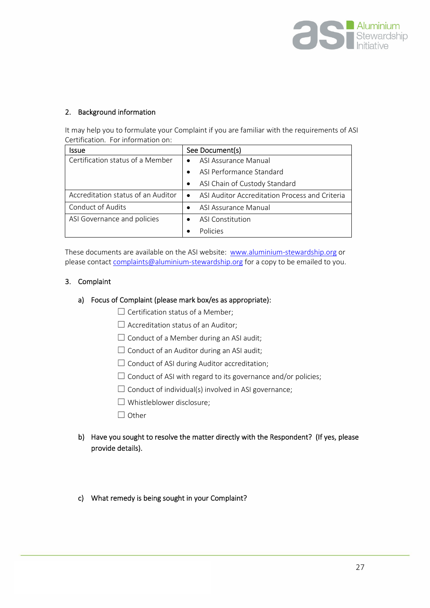

## 2. Background information

It may help you to formulate your Complaint if you are familiar with the requirements of ASI Certification. For information on:

| Issue                              | See Document(s)                                             |
|------------------------------------|-------------------------------------------------------------|
| Certification status of a Member   | ASI Assurance Manual<br>$\bullet$                           |
|                                    | ASI Performance Standard<br>$\bullet$                       |
|                                    | ASI Chain of Custody Standard                               |
| Accreditation status of an Auditor | ASI Auditor Accreditation Process and Criteria<br>$\bullet$ |
| <b>Conduct of Audits</b>           | ASI Assurance Manual<br>$\bullet$                           |
| ASI Governance and policies        | ASI Constitution                                            |
|                                    | Policies<br>$\bullet$                                       |

These documents are available on the ASI website: [www.aluminium-stewardship.org](http://www.aluminium-stewardship.org/) or please contact [complaints@aluminium-stewardship.org](mailto:complaints@aluminium-stewardship.org) for a copy to be emailed to you.

#### 3. Complaint

#### a) Focus of Complaint (please mark box/es as appropriate):

- $\Box$  Certification status of a Member;
- $\Box$  Accreditation status of an Auditor;
- $\Box$  Conduct of a Member during an ASI audit;
- $\Box$  Conduct of an Auditor during an ASI audit;
- $\Box$  Conduct of ASI during Auditor accreditation;
- $\Box$  Conduct of ASI with regard to its governance and/or policies;
- $\Box$  Conduct of individual(s) involved in ASI governance;
- ☐ Whistleblower disclosure;
- □ Other

## b) Have you sought to resolve the matter directly with the Respondent? (If yes, please provide details).

### c) What remedy is being sought in your Complaint?